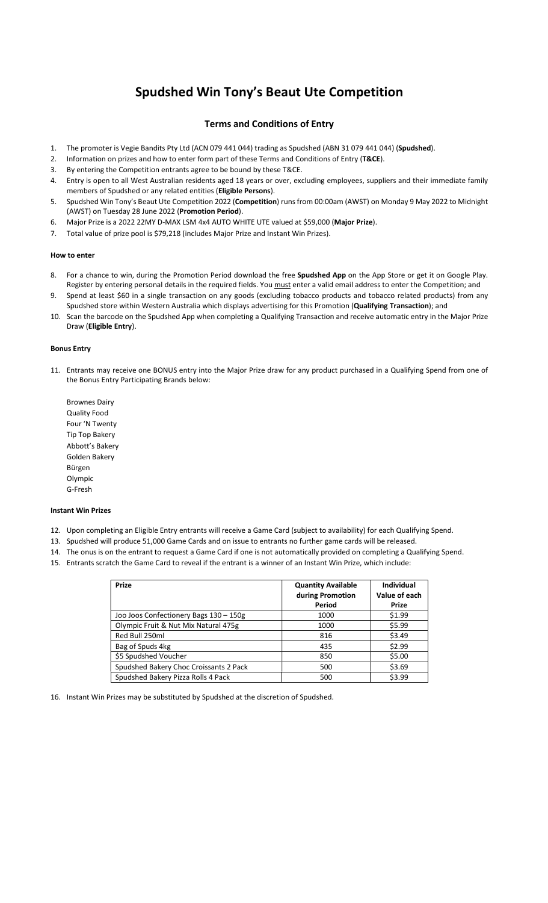# Spudshed Win Tony's Beaut Ute Competition

# Terms and Conditions of Entry

- 1. The promoter is Vegie Bandits Pty Ltd (ACN 079 441 044) trading as Spudshed (ABN 31 079 441 044) (Spudshed).
- 2. Information on prizes and how to enter form part of these Terms and Conditions of Entry (T&CE).
- 3. By entering the Competition entrants agree to be bound by these T&CE.
- 4. Entry is open to all West Australian residents aged 18 years or over, excluding employees, suppliers and their immediate family members of Spudshed or any related entities (Eligible Persons).
- 5. Spudshed Win Tony's Beaut Ute Competition 2022 (Competition) runs from 00:00am (AWST) on Monday 9 May 2022 to Midnight (AWST) on Tuesday 28 June 2022 (Promotion Period).
- 6. Major Prize is a 2022 22MY D-MAX LSM 4x4 AUTO WHITE UTE valued at \$59,000 (Major Prize).
- 7. Total value of prize pool is \$79,218 (includes Major Prize and Instant Win Prizes).

#### How to enter

- 8. For a chance to win, during the Promotion Period download the free Spudshed App on the App Store or get it on Google Play. Register by entering personal details in the required fields. You must enter a valid email address to enter the Competition; and
- 9. Spend at least \$60 in a single transaction on any goods (excluding tobacco products and tobacco related products) from any Spudshed store within Western Australia which displays advertising for this Promotion (Qualifying Transaction); and
- 10. Scan the barcode on the Spudshed App when completing a Qualifying Transaction and receive automatic entry in the Major Prize Draw (Eligible Entry).

### Bonus Entry

- 11. Entrants may receive one BONUS entry into the Major Prize draw for any product purchased in a Qualifying Spend from one of the Bonus Entry Participating Brands below:
	- Brownes Dairy Quality Food Four 'N Twenty Tip Top Bakery Abbott's Bakery Golden Bakery Bürgen Olympic G-Fresh

#### Instant Win Prizes

- 12. Upon completing an Eligible Entry entrants will receive a Game Card (subject to availability) for each Qualifying Spend.
- 13. Spudshed will produce 51,000 Game Cards and on issue to entrants no further game cards will be released.
- 14. The onus is on the entrant to request a Game Card if one is not automatically provided on completing a Qualifying Spend.
- 15. Entrants scratch the Game Card to reveal if the entrant is a winner of an Instant Win Prize, which include:

| Prize                                  | <b>Quantity Available</b><br>during Promotion<br>Period | <b>Individual</b><br>Value of each<br>Prize |
|----------------------------------------|---------------------------------------------------------|---------------------------------------------|
| Joo Joos Confectionery Bags 130 - 150g | 1000                                                    | \$1.99                                      |
| Olympic Fruit & Nut Mix Natural 475g   | 1000                                                    | \$5.99                                      |
| Red Bull 250ml                         | 816                                                     | \$3.49                                      |
| Bag of Spuds 4kg                       | 435                                                     | \$2.99                                      |
| \$5 Spudshed Voucher                   | 850                                                     | \$5.00                                      |
| Spudshed Bakery Choc Croissants 2 Pack | 500                                                     | \$3.69                                      |
| Spudshed Bakery Pizza Rolls 4 Pack     | 500                                                     | \$3.99                                      |

16. Instant Win Prizes may be substituted by Spudshed at the discretion of Spudshed.